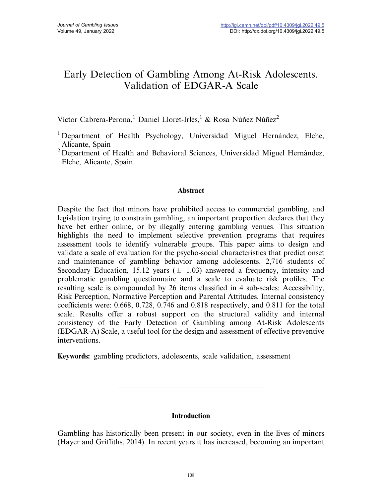# Early Detection of Gambling Among At-Risk Adolescents. Validation of EDGAR-A Scale

Víctor Cabrera-Perona,<sup>1</sup> Daniel Lloret-Irles,<sup>1</sup> & Rosa Núñez Núñez<sup>2</sup>

<sup>1</sup> Department of Health Psychology, Universidad Miguel Hernández, Elche, Alicante, Spain

<sup>2</sup> Department of Health and Behavioral Sciences, Universidad Miguel Hernández, Elche, Alicante, Spain

## Abstract

Despite the fact that minors have prohibited access to commercial gambling, and legislation trying to constrain gambling, an important proportion declares that they have bet either online, or by illegally entering gambling venues. This situation highlights the need to implement selective prevention programs that requires assessment tools to identify vulnerable groups. This paper aims to design and validate a scale of evaluation for the psycho-social characteristics that predict onset and maintenance of gambling behavior among adolescents. 2,716 students of Secondary Education, 15.12 years  $(\pm 1.03)$  answered a frequency, intensity and problematic gambling questionnaire and a scale to evaluate risk profiles. The resulting scale is compounded by 26 items classified in 4 sub-scales: Accessibility, Risk Perception, Normative Perception and Parental Attitudes. Internal consistency coefficients were: 0.668, 0.728, 0.746 and 0.818 respectively, and 0.811 for the total scale. Results offer a robust support on the structural validity and internal consistency of the Early Detection of Gambling among At-Risk Adolescents (EDGAR-A) Scale, a useful tool for the design and assessment of effective preventive interventions.

Keywords: gambling predictors, adolescents, scale validation, assessment

# Introduction

Gambling has historically been present in our society, even in the lives of minors (Hayer and Griffiths, 2014). In recent years it has increased, becoming an important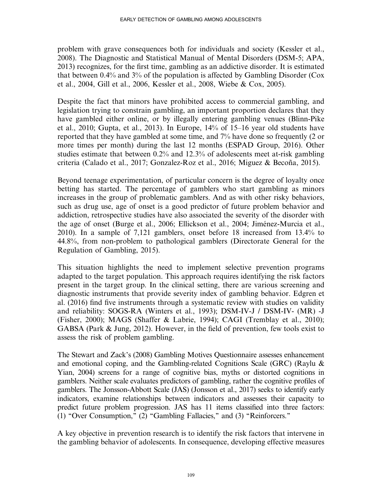problem with grave consequences both for individuals and society (Kessler et al., 2008). The Diagnostic and Statistical Manual of Mental Disorders (DSM-5; APA, 2013) recognizes, for the first time, gambling as an addictive disorder. It is estimated that between 0.4% and 3% of the population is affected by Gambling Disorder (Cox et al., 2004, Gill et al., 2006, Kessler et al., 2008, Wiebe & Cox, 2005).

Despite the fact that minors have prohibited access to commercial gambling, and legislation trying to constrain gambling, an important proportion declares that they have gambled either online, or by illegally entering gambling venues (Blinn-Pike et al., 2010; Gupta, et al., 2013). In Europe, 14% of 15–16 year old students have reported that they have gambled at some time, and 7% have done so frequently (2 or more times per month) during the last 12 months (ESPAD Group, 2016). Other studies estimate that between 0.2% and 12.3% of adolescents meet at-risk gambling criteria (Calado et al., 2017; Gonzalez-Roz et al., 2016; Miguez & Becoña, 2015).

Beyond teenage experimentation, of particular concern is the degree of loyalty once betting has started. The percentage of gamblers who start gambling as minors increases in the group of problematic gamblers. And as with other risky behaviors, such as drug use, age of onset is a good predictor of future problem behavior and addiction, retrospective studies have also associated the severity of the disorder with the age of onset (Burge et al., 2006; Ellickson et al., 2004; Jiménez-Murcia et al., 2010). In a sample of 7,121 gamblers, onset before 18 increased from 13.4% to 44.8%, from non-problem to pathological gamblers (Directorate General for the Regulation of Gambling, 2015).

This situation highlights the need to implement selective prevention programs adapted to the target population. This approach requires identifying the risk factors present in the target group. In the clinical setting, there are various screening and diagnostic instruments that provide severity index of gambling behavior. Edgren et al. (2016) find five instruments through a systematic review with studies on validity and reliability: SOGS-RA (Winters et al., 1993); DSM-IV-J / DSM-IV- (MR) -J (Fisher, 2000); MAGS (Shaffer & Labrie, 1994); CAGI (Tremblay et al., 2010); GABSA (Park & Jung, 2012). However, in the field of prevention, few tools exist to assess the risk of problem gambling.

The Stewart and Zack's (2008) Gambling Motives Questionnaire assesses enhancement and emotional coping, and the Gambling-related Cognitions Scale (GRC) (Raylu & Yian, 2004) screens for a range of cognitive bias, myths or distorted cognitions in gamblers. Neither scale evaluates predictors of gambling, rather the cognitive profiles of gamblers. The Jonsson-Abbott Scale (JAS) (Jonsson et al., 2017) seeks to identify early indicators, examine relationships between indicators and assesses their capacity to predict future problem progression. JAS has 11 items classified into three factors: (1) "Over Consumption," (2) "Gambling Fallacies," and (3) "Reinforcers."

A key objective in prevention research is to identify the risk factors that intervene in the gambling behavior of adolescents. In consequence, developing effective measures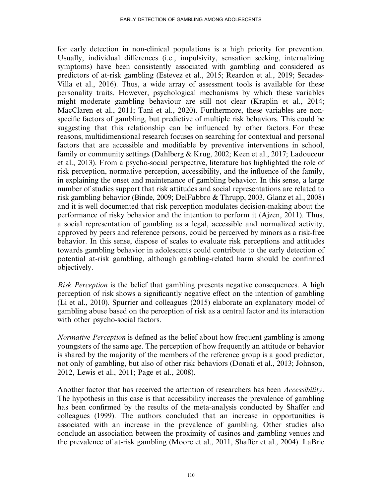for early detection in non-clinical populations is a high priority for prevention. Usually, individual differences (i.e., impulsivity, sensation seeking, internalizing symptoms) have been consistently associated with gambling and considered as predictors of at-risk gambling (Estevez et al., 2015; Reardon et al., 2019; Secades-Villa et al., 2016). Thus, a wide array of assessment tools is available for these personality traits. However, psychological mechanisms by which these variables might moderate gambling behaviour are still not clear (Kraplin et al., 2014; MacClaren et al., 2011; Tani et al., 2020). Furthermore, these variables are nonspecific factors of gambling, but predictive of multiple risk behaviors. This could be suggesting that this relationship can be influenced by other factors. For these reasons, multidimensional research focuses on searching for contextual and personal factors that are accessible and modifiable by preventive interventions in school, family or community settings (Dahlberg & Krug, 2002; Keen et al., 2017; Ladouceur et al., 2013). From a psycho-social perspective, literature has highlighted the role of risk perception, normative perception, accessibility, and the influence of the family, in explaining the onset and maintenance of gambling behavior. In this sense, a large number of studies support that risk attitudes and social representations are related to risk gambling behavior (Binde, 2009; DelFabbro & Thrupp, 2003, Glanz et al., 2008) and it is well documented that risk perception modulates decision-making about the performance of risky behavior and the intention to perform it (Ajzen, 2011). Thus, a social representation of gambling as a legal, accessible and normalized activity, approved by peers and reference persons, could be perceived by minors as a risk-free behavior. In this sense, dispose of scales to evaluate risk perceptions and attitudes towards gambling behavior in adolescents could contribute to the early detection of potential at-risk gambling, although gambling-related harm should be confirmed objectively.

Risk Perception is the belief that gambling presents negative consequences. A high perception of risk shows a significantly negative effect on the intention of gambling (Li et al., 2010). Spurrier and colleagues (2015) elaborate an explanatory model of gambling abuse based on the perception of risk as a central factor and its interaction with other psycho-social factors.

Normative Perception is defined as the belief about how frequent gambling is among youngsters of the same age. The perception of how frequently an attitude or behavior is shared by the majority of the members of the reference group is a good predictor, not only of gambling, but also of other risk behaviors (Donati et al., 2013; Johnson, 2012, Lewis et al., 2011; Page et al., 2008).

Another factor that has received the attention of researchers has been *Accessibility*. The hypothesis in this case is that accessibility increases the prevalence of gambling has been confirmed by the results of the meta-analysis conducted by Shaffer and colleagues (1999). The authors concluded that an increase in opportunities is associated with an increase in the prevalence of gambling. Other studies also conclude an association between the proximity of casinos and gambling venues and the prevalence of at-risk gambling (Moore et al., 2011, Shaffer et al., 2004). LaBrie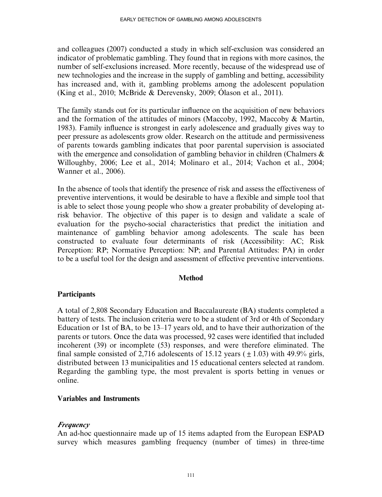and colleagues (2007) conducted a study in which self-exclusion was considered an indicator of problematic gambling. They found that in regions with more casinos, the number of self-exclusions increased. More recently, because of the widespread use of new technologies and the increase in the supply of gambling and betting, accessibility has increased and, with it, gambling problems among the adolescent population (King et al., 2010; McBride & Derevensky, 2009; Ólason et al., 2011).

The family stands out for its particular influence on the acquisition of new behaviors and the formation of the attitudes of minors (Maccoby, 1992, Maccoby & Martin, 1983). Family influence is strongest in early adolescence and gradually gives way to peer pressure as adolescents grow older. Research on the attitude and permissiveness of parents towards gambling indicates that poor parental supervision is associated with the emergence and consolidation of gambling behavior in children (Chalmers & Willoughby, 2006; Lee et al., 2014; Molinaro et al., 2014; Vachon et al., 2004; Wanner et al., 2006).

In the absence of tools that identify the presence of risk and assess the effectiveness of preventive interventions, it would be desirable to have a flexible and simple tool that is able to select those young people who show a greater probability of developing atrisk behavior. The objective of this paper is to design and validate a scale of evaluation for the psycho-social characteristics that predict the initiation and maintenance of gambling behavior among adolescents. The scale has been constructed to evaluate four determinants of risk (Accessibility: AC; Risk Perception: RP; Normative Perception: NP; and Parental Attitudes: PA) in order to be a useful tool for the design and assessment of effective preventive interventions.

#### Method

## **Participants**

A total of 2,808 Secondary Education and Baccalaureate (BA) students completed a battery of tests. The inclusion criteria were to be a student of 3rd or 4th of Secondary Education or 1st of BA, to be 13–17 years old, and to have their authorization of the parents or tutors. Once the data was processed, 92 cases were identified that included incoherent (39) or incomplete (53) responses, and were therefore eliminated. The final sample consisted of 2,716 adolescents of 15.12 years  $(\pm 1.03)$  with 49.9% girls, distributed between 13 municipalities and 15 educational centers selected at random. Regarding the gambling type, the most prevalent is sports betting in venues or online.

#### Variables and Instruments

## Frequency

An ad-hoc questionnaire made up of 15 items adapted from the European ESPAD survey which measures gambling frequency (number of times) in three-time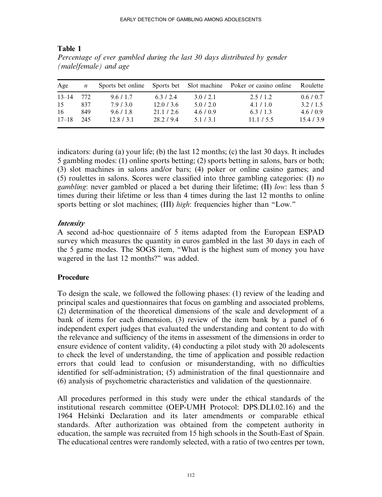|           |     | $\sim$            |            |              |                        |          |
|-----------|-----|-------------------|------------|--------------|------------------------|----------|
| Age       | n   | Sports bet online | Sports bet | Slot machine | Poker or casino online | Roulette |
| $13 - 14$ | 772 | 9.6/1.7           | 6.3/2.4    | 3.0 / 2.1    | 2.5/1.2                | 0.6/0.7  |
| 15        | 837 | 7.9 / 3.0         | 12.0/3.6   | 5.0/2.0      | 4.1 / 1.0              | 3.2/1.5  |
| -16       | 849 | 9.6/1.8           | 21.1 / 2.6 | 4.6/0.9      | 6.3/1.3                | 4.6/0.9  |
| $17 - 18$ | 245 | 12.8 / 3.1        | 28.2 / 9.4 | 5.1/3.1      | 11.1 / 5.5             | 15.4/3.9 |

Table 1 Percentage of ever gambled during the last 30 days distributed by gender (male/female) and age

indicators: during (a) your life; (b) the last 12 months; (c) the last 30 days. It includes 5 gambling modes: (1) online sports betting; (2) sports betting in salons, bars or both; (3) slot machines in salons and/or bars; (4) poker or online casino games; and (5) roulettes in salons. Scores were classified into three gambling categories: (I) no gambling: never gambled or placed a bet during their lifetime; (II) low: less than 5 times during their lifetime or less than 4 times during the last 12 months to online sports betting or slot machines; (III) *high*: frequencies higher than "Low."

## Intensity

A second ad-hoc questionnaire of 5 items adapted from the European ESPAD survey which measures the quantity in euros gambled in the last 30 days in each of the 5 game modes. The SOGS item, ''What is the highest sum of money you have wagered in the last 12 months?" was added.

# **Procedure**

To design the scale, we followed the following phases: (1) review of the leading and principal scales and questionnaires that focus on gambling and associated problems, (2) determination of the theoretical dimensions of the scale and development of a bank of items for each dimension, (3) review of the item bank by a panel of 6 independent expert judges that evaluated the understanding and content to do with the relevance and sufficiency of the items in assessment of the dimensions in order to ensure evidence of content validity, (4) conducting a pilot study with 20 adolescents to check the level of understanding, the time of application and possible redaction errors that could lead to confusion or misunderstanding, with no difficulties identified for self-administration; (5) administration of the final questionnaire and (6) analysis of psychometric characteristics and validation of the questionnaire.

All procedures performed in this study were under the ethical standards of the institutional research committee (OEP-UMH Protocol: DPS.DLI.02.16) and the 1964 Helsinki Declaration and its later amendments or comparable ethical standards. After authorization was obtained from the competent authority in education, the sample was recruited from 15 high schools in the South-East of Spain. The educational centres were randomly selected, with a ratio of two centres per town,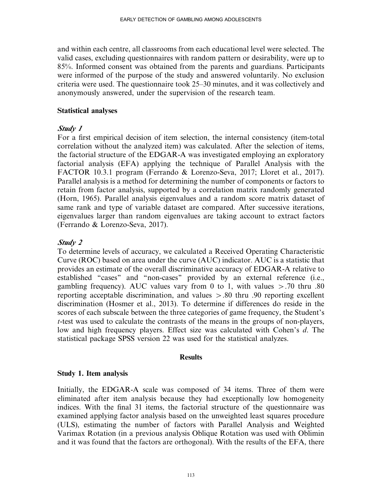and within each centre, all classrooms from each educational level were selected. The valid cases, excluding questionnaires with random pattern or desirability, were up to 85%. Informed consent was obtained from the parents and guardians. Participants were informed of the purpose of the study and answered voluntarily. No exclusion criteria were used. The questionnaire took 25–30 minutes, and it was collectively and anonymously answered, under the supervision of the research team.

#### Statistical analyses

## Study 1

For a first empirical decision of item selection, the internal consistency (item-total correlation without the analyzed item) was calculated. After the selection of items, the factorial structure of the EDGAR-A was investigated employing an exploratory factorial analysis (EFA) applying the technique of Parallel Analysis with the FACTOR 10.3.1 program (Ferrando & Lorenzo-Seva, 2017; Lloret et al., 2017). Parallel analysis is a method for determining the number of components or factors to retain from factor analysis, supported by a correlation matrix randomly generated (Horn, 1965). Parallel analysis eigenvalues and a random score matrix dataset of same rank and type of variable dataset are compared. After successive iterations, eigenvalues larger than random eigenvalues are taking account to extract factors (Ferrando & Lorenzo-Seva, 2017).

## Study 2

To determine levels of accuracy, we calculated a Received Operating Characteristic Curve (ROC) based on area under the curve (AUC) indicator. AUC is a statistic that provides an estimate of the overall discriminative accuracy of EDGAR-A relative to established "cases" and "non-cases" provided by an external reference (i.e., gambling frequency). AUC values vary from 0 to 1, with values  $> .70$  thru .80 reporting acceptable discrimination, and values  $> 0.80$  thru .90 reporting excellent discrimination (Hosmer et al., 2013). To determine if differences do reside in the scores of each subscale between the three categories of game frequency, the Student's t-test was used to calculate the contrasts of the means in the groups of non-players, low and high frequency players. Effect size was calculated with Cohen's d. The statistical package SPSS version 22 was used for the statistical analyzes.

## **Results**

## Study 1. Item analysis

Initially, the EDGAR-A scale was composed of 34 items. Three of them were eliminated after item analysis because they had exceptionally low homogeneity indices. With the final 31 items, the factorial structure of the questionnaire was examined applying factor analysis based on the unweighted least squares procedure (ULS), estimating the number of factors with Parallel Analysis and Weighted Varimax Rotation (in a previous analysis Oblique Rotation was used with Oblimin and it was found that the factors are orthogonal). With the results of the EFA, there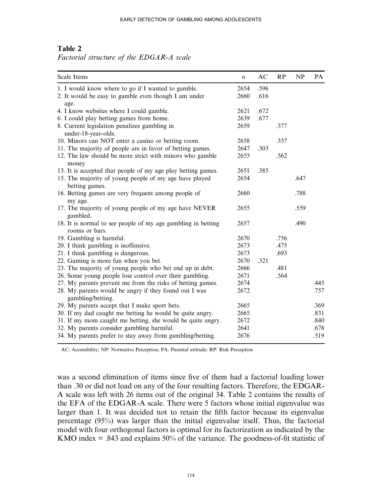## Table 2

Factorial structure of the EDGAR-A scale

| Scale Items                                                                    | $\boldsymbol{n}$ | AC   | RP   | NP   | PA   |
|--------------------------------------------------------------------------------|------------------|------|------|------|------|
| 1. I would know where to go if I wanted to gamble.                             | 2654             | .596 |      |      |      |
| 2. It would be easy to gamble even though I am under                           | 2660             | .616 |      |      |      |
| age.                                                                           |                  |      |      |      |      |
| 4. I know websites where I could gamble.                                       | 2621             | .672 |      |      |      |
| 6. I could play betting games from home.                                       | 2639             | .677 |      |      |      |
| 8. Current legislation penalizes gambling in                                   | 2659             |      | .377 |      |      |
| under-18-year-olds.                                                            |                  |      |      |      |      |
| 10. Minors can NOT enter a casino or betting room.                             | 2658             |      | .357 |      |      |
| 11. The majority of people are in favor of betting games.                      | 2647             | .303 |      |      |      |
| 12. The law should be more strict with minors who gamble<br>money              | 2655             |      | .562 |      |      |
| 13. It is accepted that people of my age play betting games.                   | 2651             | .385 |      |      |      |
| 15. The majority of young people of my age have played                         | 2654             |      |      | .647 |      |
| betting games.                                                                 |                  |      |      |      |      |
| 16. Betting games are very frequent among people of                            | 2660             |      |      | .788 |      |
| my age.                                                                        |                  |      |      |      |      |
| 17. The majority of young people of my age have NEVER<br>gambled.              | 2655             |      |      | .559 |      |
| 18. It is normal to see people of my age gambling in betting<br>rooms or bars. | 2657             |      |      | .490 |      |
| 19. Gambling is harmful.                                                       | 2670             |      | .756 |      |      |
| 20. I think gambling is inoffensive.                                           | 2673             |      | .475 |      |      |
| 21. I think gambling is dangerous.                                             | 2673             |      | .693 |      |      |
| 22. Gaming is more fun when you bet.                                           | 2670             | .321 |      |      |      |
| 23. The majority of young people who bet end up in debt.                       | 2666             |      | .481 |      |      |
| 26. Some young people lose control over their gambling.                        | 2671             |      | .564 |      |      |
| 27. My parents prevent me from the risks of betting games.                     | 2674             |      |      |      | .445 |
| 28. My parents would be angry if they found out I was                          | 2672             |      |      |      | .757 |
| gambling/betting.                                                              |                  |      |      |      |      |
| 29. My parents accept that I make sport bets.                                  | 2665             |      |      |      | .369 |
| 30. If my dad caught me betting he would be quite angry.                       | 2665             |      |      |      | .831 |
| 31. If my mom caught me betting, she would be quite angry.                     | 2672             |      |      |      | .840 |
| 32. My parents consider gambling harmful.                                      | 2641             |      |      |      | .678 |
| 34. My parents prefer to stay away from gambling/betting.                      | 2676             |      |      |      | .519 |

AC: Accessibility; NP: Normative Perception; PA: Parental attitude; RP: Risk Perception

was a second elimination of items since five of them had a factorial loading lower than .30 or did not load on any of the four resulting factors. Therefore, the EDGAR-A scale was left with 26 items out of the original 34. Table 2 contains the results of the EFA of the EDGAR-A scale. There were 5 factors whose initial eigenvalue was larger than 1. It was decided not to retain the fifth factor because its eigenvalue percentage (95%) was larger than the initial eigenvalue itself. Thus, the factorial model with four orthogonal factors is optimal for its factorization as indicated by the KMO index  $=$  .843 and explains 50% of the variance. The goodness-of-fit statistic of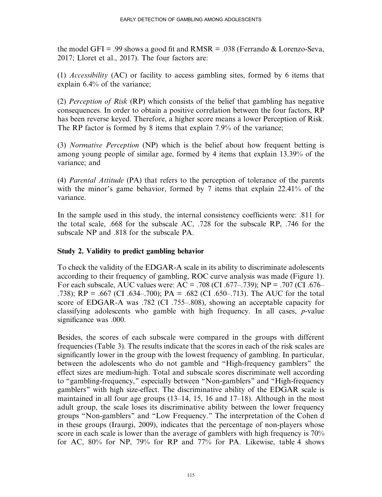the model GFI = .99 shows a good fit and RMSR = .038 (Ferrando  $\&$  Lorenzo-Seva, 2017; Lloret et al., 2017). The four factors are:

(1) Accessibility (AC) or facility to access gambling sites, formed by 6 items that explain 6.4% of the variance;

(2) Perception of Risk (RP) which consists of the belief that gambling has negative consequences. In order to obtain a positive correlation between the four factors, RP has been reverse keyed. Therefore, a higher score means a lower Perception of Risk. The RP factor is formed by 8 items that explain 7.9% of the variance:

(3) *Normative Perception* (NP) which is the belief about how frequent betting is among young people of similar age, formed by 4 items that explain 13.39% of the variance; and

(4) Parental Attitude (PA) that refers to the perception of tolerance of the parents with the minor's game behavior, formed by 7 items that explain 22.41% of the variance.

In the sample used in this study, the internal consistency coefficients were: .811 for the total scale, .668 for the subscale AC, .728 for the subscale RP, .746 for the subscale NP and .818 for the subscale PA.

# Study 2. Validity to predict gambling behavior

To check the validity of the EDGAR-A scale in its ability to discriminate adolescents according to their frequency of gambling, ROC curve analysis was made (Figure 1). For each subscale, AUC values were:  $AC = .708$  (CI .677–.739);  $NP = .707$  (CI .676– .738); RP = .667 (CI .634–.700); PA = .682 (CI .650–.713). The AUC for the total score of EDGAR-A was .782 (CI .755–.808), showing an acceptable capacity for classifying adolescents who gamble with high frequency. In all cases, p-value significance was .000.

Besides, the scores of each subscale were compared in the groups with different frequencies (Table 3). The results indicate that the scores in each of the risk scales are significantly lower in the group with the lowest frequency of gambling. In particular, between the adolescents who do not gamble and ''High-frequency gamblers'' the effect sizes are medium-high. Total and subscale scores discriminate well according to "gambling-frequency," especially between "Non-gamblers" and "High-frequency gamblers'' with high size-effect. The discriminative ability of the EDGAR scale is maintained in all four age groups (13–14, 15, 16 and 17–18). Although in the most adult group, the scale loses its discriminative ability between the lower frequency groups ''Non-gamblers'' and ''Low Frequency.'' The interpretation of the Cohen d in these groups (Iraurgi, 2009), indicates that the percentage of non-players whose score in each scale is lower than the average of gamblers with high frequency is 70% for AC, 80% for NP, 79% for RP and 77% for PA. Likewise, table 4 shows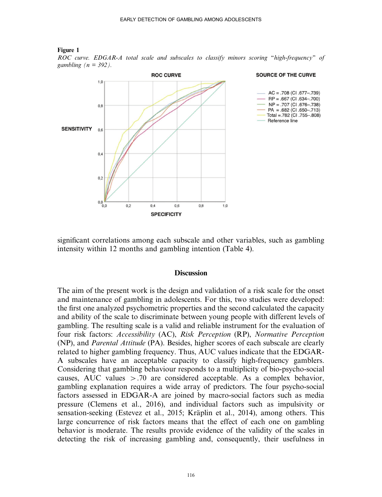

ROC curve. EDGAR-A total scale and subscales to classify minors scoring "high-frequency" of gambling  $(n = 392)$ .



significant correlations among each subscale and other variables, such as gambling intensity within 12 months and gambling intention (Table 4).

#### **Discussion**

The aim of the present work is the design and validation of a risk scale for the onset and maintenance of gambling in adolescents. For this, two studies were developed: the first one analyzed psychometric properties and the second calculated the capacity and ability of the scale to discriminate between young people with different levels of gambling. The resulting scale is a valid and reliable instrument for the evaluation of four risk factors: Accessibility (AC), Risk Perception (RP), Normative Perception (NP), and Parental Attitude (PA). Besides, higher scores of each subscale are clearly related to higher gambling frequency. Thus, AUC values indicate that the EDGAR-A subscales have an acceptable capacity to classify high-frequency gamblers. Considering that gambling behaviour responds to a multiplicity of bio-psycho-social causes, AUC values  $> .70$  are considered acceptable. As a complex behavior, gambling explanation requires a wide array of predictors. The four psycho-social factors assessed in EDGAR-A are joined by macro-social factors such as media pressure (Clemens et al., 2016), and individual factors such as impulsivity or sensation-seeking (Estevez et al., 2015; Kräplin et al., 2014), among others. This large concurrence of risk factors means that the effect of each one on gambling behavior is moderate. The results provide evidence of the validity of the scales in detecting the risk of increasing gambling and, consequently, their usefulness in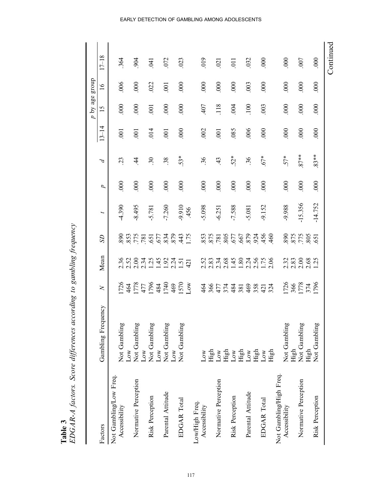|                                         |                    |                                              |                      |                                            |                |                  |                       |                | p by age       | dno.18           |                |
|-----------------------------------------|--------------------|----------------------------------------------|----------------------|--------------------------------------------|----------------|------------------|-----------------------|----------------|----------------|------------------|----------------|
| Factors                                 | Gambling Frequency | $\geq$                                       | Mean                 | <b>SD</b>                                  | J              | d                | Δ                     | $13 - 14$      | 15             | $\frac{6}{1}$    | $17 - 18$      |
| Not Gambling/Low Freq.<br>Accessibility | Not Gambling       |                                              |                      |                                            | 4.390          | $\overline{000}$ | $\tilde{\mathcal{L}}$ | $\overline{0}$ | 000            | 006              | 364            |
|                                         | Low                | 1726<br>4577<br>4778<br>4778<br>1796<br>1788 |                      | 89022174034175088811750888                 |                |                  |                       |                |                |                  |                |
| Normative Perception                    | Not Gambling       |                                              |                      |                                            | -8.495         | 000              | 4                     | $\overline{0}$ | 000            | 000              | .904           |
|                                         | Low                |                                              |                      |                                            |                |                  |                       |                |                |                  |                |
| Risk Perception                         | Not Gambling       |                                              |                      |                                            | 5.781          | 000              | $\overline{30}$       | .014           | $\overline{0}$ | 022              | $\overline{5}$ |
|                                         | Low                |                                              |                      |                                            |                |                  |                       |                |                |                  |                |
| Parental Attitude                       | Not Gambling       |                                              |                      |                                            | $-7.260$       | 000              | 38                    | .001           | 000            | $\overline{001}$ | 072            |
|                                         | Low                |                                              |                      |                                            |                |                  |                       |                |                |                  |                |
| EDGAR Total                             | Not Gambling       |                                              |                      |                                            | 9.910<br>0.456 | 000              | 53*                   | 000            | 000            | 000              | 023            |
|                                         |                    |                                              |                      |                                            |                |                  |                       |                |                |                  |                |
| Low/High Freq.                          |                    |                                              |                      |                                            |                |                  |                       |                |                |                  |                |
| Accessibility                           | Low                | 48024288827                                  |                      |                                            | $-5.098$       | 000              | 36                    | .002           | 407            | 000              | .019           |
|                                         | High               |                                              |                      |                                            |                |                  |                       |                |                |                  |                |
| Normative Perception                    | Low                |                                              |                      |                                            | $-6.251$       | 000              | 43                    | .001           | .118           | 000              | 021            |
|                                         | High               |                                              |                      |                                            |                |                  |                       |                |                |                  |                |
| Risk Perception                         | Low                |                                              |                      | 853<br>878 86657<br>886 868 866<br>888 888 | $-7.588$       | 000              | $52*$                 | .085           | 004            | 000              | 11             |
|                                         | High               |                                              |                      |                                            |                |                  |                       |                |                |                  |                |
| Parental Attitude                       | $_{\text{Low}}$    |                                              |                      |                                            | 5.081          | $\frac{000}{1}$  | 36                    | 006            | 100            | .003             | 032            |
|                                         | High               |                                              |                      |                                            |                |                  |                       |                |                |                  |                |
| EDGAR Total                             | Low                |                                              |                      |                                            | -9.152         | 000              | $.67*$                | 000            | .003           | 000              | 000            |
|                                         | High               |                                              |                      |                                            |                |                  |                       |                |                |                  |                |
| Not Gambling/High Freq.                 |                    |                                              |                      |                                            |                |                  |                       |                |                |                  |                |
| Accessibility                           | Not Gambling       |                                              |                      |                                            | 9.988          | 000              | $57*$                 | 000            | 000            | 000              | 000            |
|                                         | High               |                                              |                      |                                            |                |                  |                       |                |                |                  |                |
| Normative Perception                    | Not Gambling       | 1726<br>366<br>1778<br>1796                  | $238882$<br>$238882$ | 895<br>875<br>805<br>851                   | $-15.356$      | 000              | $87**$                | 000            | 000            | 000              | 007            |
|                                         | High               |                                              |                      |                                            |                |                  |                       |                |                |                  |                |
| Risk Perception                         | Not Gambling       |                                              |                      |                                            | $-14.752$      | 000              | $83**$                | 000            | 000            | 000              | 000            |
|                                         |                    |                                              |                      |                                            |                |                  |                       |                |                |                  |                |

Table 3<br>EDGAR-A factors. Score differences according to gambling frequency EDGAR-A factors. Score differences according to gambling frequency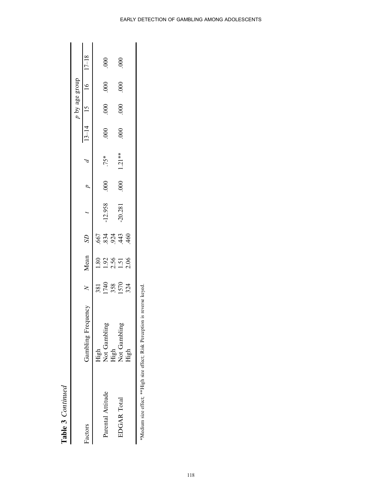|                   |               |                             |                            |                  |        |           |          |           | p by age group   |                  |           |
|-------------------|---------------|-----------------------------|----------------------------|------------------|--------|-----------|----------|-----------|------------------|------------------|-----------|
| Factors           | Gambling Freq |                             | Mean                       | S                |        |           |          | $13 - 14$ |                  |                  | $17 - 18$ |
|                   | High          |                             | $\frac{80}{2}$             |                  |        |           |          |           |                  |                  |           |
| Parental Attitude | Not Gambling  | 381<br>1740<br>1570<br>1574 |                            | 653436<br>683446 | 12.958 | $\infty$  | 75*      | $\rm{8}$  | $\rm \mathbb{S}$ | $\overline{000}$ | $\rm{g}$  |
|                   | High          |                             |                            |                  |        |           |          |           |                  |                  |           |
| EDGAR Total       | Not Gambling  |                             | $1.92$<br>$2.51$<br>$2.06$ |                  | 20.281 | $\approx$ | $1.21**$ | $\rm{g}$  | $\rm{8}$         | $\rm{80}$        | $\rm{g}$  |
|                   | High          |                             |                            |                  |        |           |          |           |                  |                  |           |
|                   |               |                             |                            |                  |        |           |          |           |                  |                  |           |

\*Medium size effect; \*\*High size effect; Risk Perception is reverse keyed.

\*Medium size effect; \*\*High size effect; Risk Perception is reverse keyed.

Table 3 Continued

Table 3 Continued

EARLY DETECTION OF GAMBLING AMONG ADOLESCENTS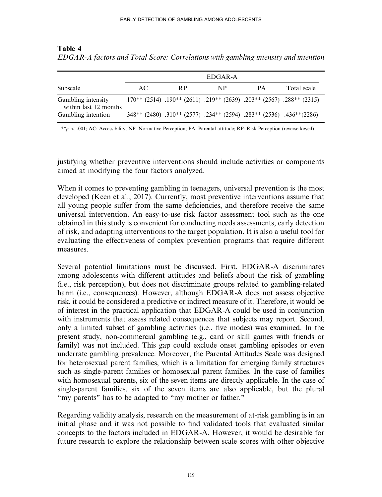#### Table 4

EDGAR-A factors and Total Score: Correlations with gambling intensity and intention

|                                             |     |     | EDGAR-A                                                                                        |           |             |
|---------------------------------------------|-----|-----|------------------------------------------------------------------------------------------------|-----------|-------------|
| Subscale                                    | AC. | R P | NP                                                                                             | <b>PA</b> | Total scale |
| Gambling intensity<br>within last 12 months |     |     | $.170^{**}$ (2514) $.190^{**}$ (2611) $.219^{**}$ (2639) $.203^{**}$ (2567) $.288^{**}$ (2315) |           |             |
| Gambling intention                          |     |     | .348** (2480) .310** (2577) .234** (2594) .283** (2536) .436** (2480)                          |           |             |

\*\*p < .001; AC: Accessibility; NP: Normative Perception; PA: Parental attitude; RP: Risk Perception (reverse keyed)

justifying whether preventive interventions should include activities or components aimed at modifying the four factors analyzed.

When it comes to preventing gambling in teenagers, universal prevention is the most developed (Keen et al., 2017). Currently, most preventive interventions assume that all young people suffer from the same deficiencies, and therefore receive the same universal intervention. An easy-to-use risk factor assessment tool such as the one obtained in this study is convenient for conducting needs assessments, early detection of risk, and adapting interventions to the target population. It is also a useful tool for evaluating the effectiveness of complex prevention programs that require different measures.

Several potential limitations must be discussed. First, EDGAR-A discriminates among adolescents with different attitudes and beliefs about the risk of gambling (i.e., risk perception), but does not discriminate groups related to gambling-related harm (*i.e.*, consequences). However, although EDGAR-A does not assess objective risk, it could be considered a predictive or indirect measure of it. Therefore, it would be of interest in the practical application that EDGAR-A could be used in conjunction with instruments that assess related consequences that subjects may report. Second, only a limited subset of gambling activities (i.e., five modes) was examined. In the present study, non-commercial gambling (e.g., card or skill games with friends or family) was not included. This gap could exclude onset gambling episodes or even underrate gambling prevalence. Moreover, the Parental Attitudes Scale was designed for heterosexual parent families, which is a limitation for emerging family structures such as single-parent families or homosexual parent families. In the case of families with homosexual parents, six of the seven items are directly applicable. In the case of single-parent families, six of the seven items are also applicable, but the plural "my parents" has to be adapted to "my mother or father."

Regarding validity analysis, research on the measurement of at-risk gambling is in an initial phase and it was not possible to find validated tools that evaluated similar concepts to the factors included in EDGAR-A. However, it would be desirable for future research to explore the relationship between scale scores with other objective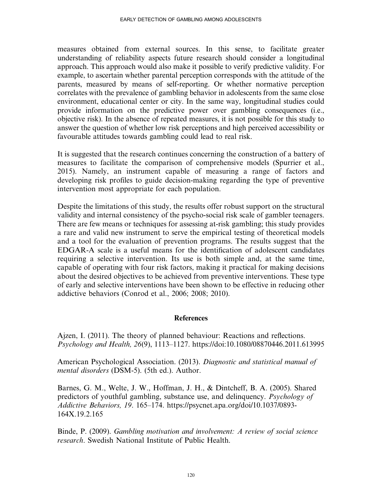measures obtained from external sources. In this sense, to facilitate greater understanding of reliability aspects future research should consider a longitudinal approach. This approach would also make it possible to verify predictive validity. For example, to ascertain whether parental perception corresponds with the attitude of the parents, measured by means of self-reporting. Or whether normative perception correlates with the prevalence of gambling behavior in adolescents from the same close environment, educational center or city. In the same way, longitudinal studies could provide information on the predictive power over gambling consequences (i.e., objective risk). In the absence of repeated measures, it is not possible for this study to answer the question of whether low risk perceptions and high perceived accessibility or favourable attitudes towards gambling could lead to real risk.

It is suggested that the research continues concerning the construction of a battery of measures to facilitate the comparison of comprehensive models (Spurrier et al., 2015). Namely, an instrument capable of measuring a range of factors and developing risk profiles to guide decision-making regarding the type of preventive intervention most appropriate for each population.

Despite the limitations of this study, the results offer robust support on the structural validity and internal consistency of the psycho-social risk scale of gambler teenagers. There are few means or techniques for assessing at-risk gambling; this study provides a rare and valid new instrument to serve the empirical testing of theoretical models and a tool for the evaluation of prevention programs. The results suggest that the EDGAR-A scale is a useful means for the identification of adolescent candidates requiring a selective intervention. Its use is both simple and, at the same time, capable of operating with four risk factors, making it practical for making decisions about the desired objectives to be achieved from preventive interventions. These type of early and selective interventions have been shown to be effective in reducing other addictive behaviors (Conrod et al., 2006; 2008; 2010).

## **References**

Ajzen, I. (2011). The theory of planned behaviour: Reactions and reflections. Psychology and Health, 26(9), 1113–1127.<https://doi:10.1080/08870446.2011.613995>

American Psychological Association. (2013). Diagnostic and statistical manual of mental disorders (DSM-5). (5th ed.). Author.

Barnes, G. M., Welte, J. W., Hoffman, J. H., & Dintcheff, B. A. (2005). Shared predictors of youthful gambling, substance use, and delinquency. Psychology of Addictive Behaviors, 19. 165–174. [https://psycnet.apa.org/doi/10.1037/0893-](https://psycnet.apa.org/doi/10.1037/0893-164X.19.2.165) [164X.19.2.165](https://psycnet.apa.org/doi/10.1037/0893-164X.19.2.165)

Binde, P. (2009). Gambling motivation and involvement: A review of social science research. Swedish National Institute of Public Health.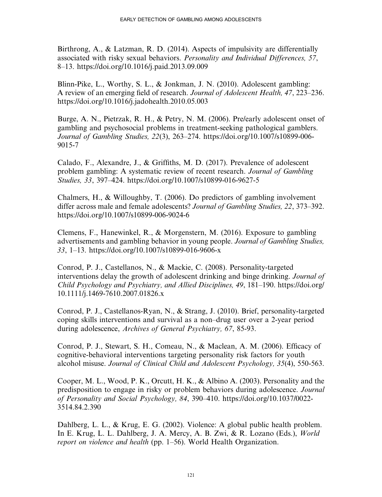Birthrong, A., & Latzman, R. D. (2014). Aspects of impulsivity are differentially associated with risky sexual behaviors. Personality and Individual Differences, 57, 8–13.<https://doi.org/10.1016/j.paid.2013.09.009>

Blinn-Pike, L., Worthy, S. L., & Jonkman, J. N. (2010). Adolescent gambling: A review of an emerging field of research. Journal of Adolescent Health, 47, 223–236. <https://doi.org/10.1016/j.jadohealth.2010.05.003>

Burge, A. N., Pietrzak, R. H., & Petry, N. M. (2006). Pre/early adolescent onset of gambling and psychosocial problems in treatment-seeking pathological gamblers. Journal of Gambling Studies, 22(3), 263–274. [https://doi.org/10.1007/s10899-006-](https://doi.org/10.1007/s10899-006-9015-7) [9015-7](https://doi.org/10.1007/s10899-006-9015-7)

Calado, F., Alexandre, J., & Griffiths, M. D. (2017). Prevalence of adolescent problem gambling: A systematic review of recent research. Journal of Gambling Studies, 33, 397–424.<https://doi.org/10.1007/s10899-016-9627-5>

Chalmers, H., & Willoughby, T. (2006). Do predictors of gambling involvement differ across male and female adolescents? Journal of Gambling Studies, 22, 373–392. <https://doi.org/10.1007/s10899-006-9024-6>

Clemens, F., Hanewinkel, R., & Morgenstern, M. (2016). Exposure to gambling advertisements and gambling behavior in young people. Journal of Gambling Studies, 33, 1–13.<https://doi.org/10.1007/s10899-016-9606-x>

Conrod, P. J., Castellanos, N., & Mackie, C. (2008). Personality-targeted interventions delay the growth of adolescent drinking and binge drinking. Journal of Child Psychology and Psychiatry, and Allied Disciplines, 49, 181–190. [https://doi.org/](https://doi.org/10.1111/j.1469-7610.2007.01826.x) [10.1111/j.1469-7610.2007.01826.x](https://doi.org/10.1111/j.1469-7610.2007.01826.x)

Conrod, P. J., Castellanos-Ryan, N., & Strang, J. (2010). Brief, personality-targeted coping skills interventions and survival as a non–drug user over a 2-year period during adolescence, Archives of General Psychiatry, 67, 85-93.

Conrod, P. J., Stewart, S. H., Comeau, N., & Maclean, A. M. (2006). Efficacy of cognitive-behavioral interventions targeting personality risk factors for youth alcohol misuse. Journal of Clinical Child and Adolescent Psychology, 35(4), 550-563.

Cooper, M. L., Wood, P. K., Orcutt, H. K., & Albino A. (2003). Personality and the predisposition to engage in risky or problem behaviors during adolescence. Journal of Personality and Social Psychology, 84, 390–410. [https://doi.org/10.1037/0022-](https://doi.org/10.1037/0022-3514.84.2.390) [3514.84.2.390](https://doi.org/10.1037/0022-3514.84.2.390)

Dahlberg, L. L., & Krug, E. G. (2002). Violence: A global public health problem. In E. Krug, L. L. Dahlberg, J. A. Mercy, A. B. Zwi, & R. Lozano (Eds.), World report on violence and health (pp. 1–56). World Health Organization.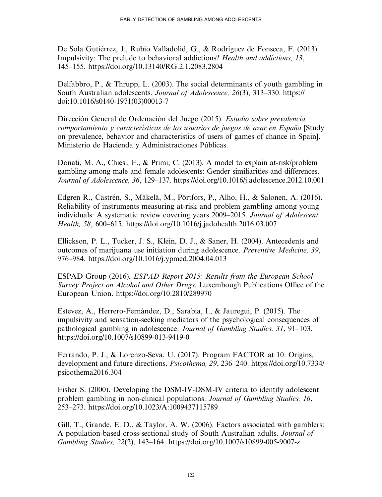De Sola Gutiérrez, J., Rubio Valladolid, G., & Rodríguez de Fonseca, F. (2013). Impulsivity: The prelude to behavioral addictions? Health and addictions, 13, 145–155.<https://doi.org/10.13140/RG.2.1.2083.2804>

Delfabbro, P., & Thrupp, L. (2003). The social determinants of youth gambling in South Australian adolescents. Journal of Adolescence, 26(3), 313–330. [https://](https://doi:10.1016/s0140-1971(03(00013-7) [doi:10.1016/s0140-1971\(03\)00013-7](https://doi:10.1016/s0140-1971(03(00013-7)

Dirección General de Ordenación del Juego (2015). Estudio sobre prevalencia, comportamiento y características de los usuarios de juegos de azar en España [Study] on prevalence, behavior and characteristics of users of games of chance in Spain]. Ministerio de Hacienda y Administraciones Públicas.

Donati, M. A., Chiesi, F., & Primi, C. (2013). A model to explain at-risk/problem gambling among male and female adolescents: Gender similiarities and differences. Journal of Adolescence, 36, 129–137.<https://doi.org/10.1016/j.adolescence.2012.10.001>

Edgren R., Castrén, S., Mäkelä, M., Pörtfors, P., Alho, H., & Salonen, A. (2016). Reliability of instruments measuring at-risk and problem gambling among young individuals: A systematic review covering years 2009–2015. Journal of Adolescent Health, 58, 600–615.<https://doi.org/10.1016/j.jadohealth.2016.03.007>

Ellickson, P. L., Tucker, J. S., Klein, D. J., & Saner, H. (2004). Antecedents and outcomes of marijuana use initiation during adolescence. Preventive Medicine, 39, 976–984.<https://doi.org/10.1016/j.ypmed.2004.04.013>

ESPAD Group (2016), ESPAD Report 2015: Results from the European School Survey Project on Alcohol and Other Drugs. Luxembough Publications Office of the European Union.<https://doi.org/10.2810/289970>

Estevez, A., Herrero-Fernández, D., Sarabia, I., & Jauregui, P. (2015). The impulsivity and sensation-seeking mediators of the psychological consequences of pathological gambling in adolescence. Journal of Gambling Studies, 31, 91–103. <https://doi.org/10.1007/s10899-013-9419-0>

Ferrando, P. J., & Lorenzo-Seva, U. (2017). Program FACTOR at 10: Origins, development and future directions. Psicothema, 29, 236–240. [https://doi.org/10.7334/](https://doi.org/10.7334/psicothema2016.304) [psicothema2016.304](https://doi.org/10.7334/psicothema2016.304)

Fisher S. (2000). Developing the DSM-IV-DSM-IV criteria to identify adolescent problem gambling in non-clinical populations. Journal of Gambling Studies, 16, 253–273.<https://doi.org/10.1023/A:1009437115789>

Gill, T., Grande, E. D., & Taylor, A. W. (2006). Factors associated with gamblers: A population-based cross-sectional study of South Australian adults. Journal of Gambling Studies, 22(2), 143–164.<https://doi.org/10.1007/s10899-005-9007-z>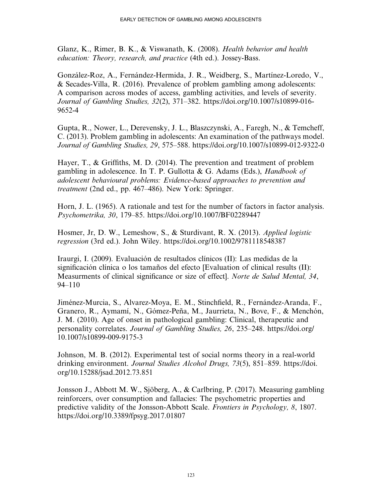Glanz, K., Rimer, B. K., & Viswanath, K. (2008). Health behavior and health education: Theory, research, and practice (4th ed.). Jossey-Bass.

González-Roz, A., Fernández-Hermida, J. R., Weidberg, S., Martínez-Loredo, V., & Secades-Villa, R. (2016). Prevalence of problem gambling among adolescents: A comparison across modes of access, gambling activities, and levels of severity. Journal of Gambling Studies, 32(2), 371–382. [https://doi.org/10.1007/s10899-016-](https://doi.org/10.1007/s10899-016-9652-4) [9652-4](https://doi.org/10.1007/s10899-016-9652-4)

Gupta, R., Nower, L., Derevensky, J. L., Blaszczynski, A., Faregh, N., & Temcheff, C. (2013). Problem gambling in adolescents: An examination of the pathways model. Journal of Gambling Studies, 29, 575–588.<https://doi.org/10.1007/s10899-012-9322-0>

Hayer, T., & Griffiths, M. D. (2014). The prevention and treatment of problem gambling in adolescence. In T. P. Gullotta & G. Adams (Eds.), *Handbook of* adolescent behavioural problems: Evidence-based approaches to prevention and treatment (2nd ed., pp. 467–486). New York: Springer.

Horn, J. L. (1965). A rationale and test for the number of factors in factor analysis. Psychometrika, 30, 179–85.<https://doi.org/10.1007/BF02289447>

Hosmer, Jr, D. W., Lemeshow, S., & Sturdivant, R. X. (2013). Applied logistic regression (3rd ed.). John Wiley.<https://doi.org/10.1002/9781118548387>

Iraurgi, I. (2009). Evaluación de resultados clínicos (II): Las medidas de la significación clínica o los tamaños del efecto [Evaluation of clinical results (II): Measurments of clinical significance or size of effect]. Norte de Salud Mental, 34, 94–110

Jiménez-Murcia, S., Alvarez-Moya, E. M., Stinchfield, R., Fernández-Aranda, F., Granero, R., Aymamí, N., Gómez-Peña, M., Jaurrieta, N., Bove, F., & Menchón, J. M. (2010). Age of onset in pathological gambling: Clinical, therapeutic and personality correlates. Journal of Gambling Studies, 26, 235–248. [https://doi.org/](https://doi.org/10.1007/s10899-009-9175-3) [10.1007/s10899-009-9175-3](https://doi.org/10.1007/s10899-009-9175-3)

Johnson, M. B. (2012). Experimental test of social norms theory in a real-world drinking environment. Journal Studies Alcohol Drugs, 73(5), 851–859. [https://doi.](https://doi.org/10.15288/jsad.2012.73.851) [org/10.15288/jsad.2012.73.851](https://doi.org/10.15288/jsad.2012.73.851)

Jonsson J., Abbott M. W., Sjöberg, A., & Carlbring, P. (2017). Measuring gambling reinforcers, over consumption and fallacies: The psychometric properties and predictive validity of the Jonsson-Abbott Scale. Frontiers in Psychology, 8, 1807. <https://doi.org/10.3389/fpsyg.2017.01807>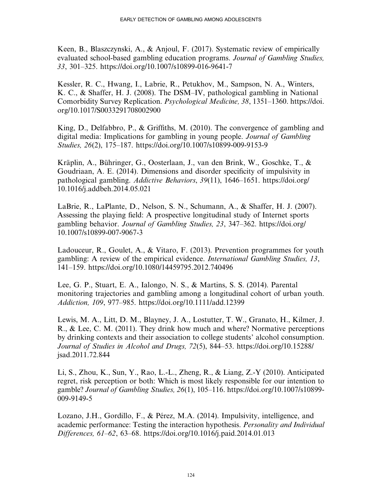Keen, B., Blaszczynski, A., & Anjoul, F. (2017). Systematic review of empirically evaluated school-based gambling education programs. Journal of Gambling Studies, 33, 301–325.<https://doi.org/10.1007/s10899-016-9641-7>

Kessler, R. C., Hwang, I., Labrie, R., Petukhov, M., Sampson, N. A., Winters, K. C., & Shaffer, H. J. (2008). The DSM–IV, pathological gambling in National Comorbidity Survey Replication. Psychological Medicine, 38, 1351–1360. [https://doi.](https://doi.org/10.1017/S0033291708002900) [org/10.1017/S0033291708002900](https://doi.org/10.1017/S0033291708002900)

King, D., Delfabbro, P., & Griffiths, M. (2010). The convergence of gambling and digital media: Implications for gambling in young people. Journal of Gambling Studies, 26(2), 175–187.<https://doi.org/10.1007/s10899-009-9153-9>

Kräplin, A., Bühringer, G., Oosterlaan, J., van den Brink, W., Goschke, T., & Goudriaan, A. E. (2014). Dimensions and disorder specificity of impulsivity in pathological gambling. Addictive Behaviors, 39(11), 1646–1651.<https://doi.org/> 10.1016/j.addbeh.2014.05.021

LaBrie, R., LaPlante, D., Nelson, S. N., Schumann, A., & Shaffer, H. J. (2007). Assessing the playing field: A prospective longitudinal study of Internet sports gambling behavior. Journal of Gambling Studies, 23, 347–362. [https://doi.org/](https://doi.org/10.1007/s10899-007-9067-3) [10.1007/s10899-007-9067-3](https://doi.org/10.1007/s10899-007-9067-3)

Ladouceur, R., Goulet, A., & Vitaro, F. (2013). Prevention programmes for youth gambling: A review of the empirical evidence. International Gambling Studies, 13, 141–159.<https://doi.org/10.1080/14459795.2012.740496>

Lee, G. P., Stuart, E. A., Ialongo, N. S., & Martins, S. S. (2014). Parental monitoring trajectories and gambling among a longitudinal cohort of urban youth. Addiction, 109, 977–985.<https://doi.org/10.1111/add.12399>

Lewis, M. A., Litt, D. M., Blayney, J. A., Lostutter, T. W., Granato, H., Kilmer, J. R., & Lee, C. M. (2011). They drink how much and where? Normative perceptions by drinking contexts and their association to college students' alcohol consumption. Journal of Studies in Alcohol and Drugs, 72(5), 844–53. [https://doi.org/10.15288/](https://doi.org/10.15288/jsad.2011.72.844) [jsad.2011.72.844](https://doi.org/10.15288/jsad.2011.72.844)

Li, S., Zhou, K., Sun, Y., Rao, L.-L., Zheng, R., & Liang, Z.-Y (2010). Anticipated regret, risk perception or both: Which is most likely responsible for our intention to gamble? Journal of Gambling Studies, 26(1), 105–116. [https://doi.org/10.1007/s10899-](https://doi.org/10.1007/s10899-009-9149-5) [009-9149-5](https://doi.org/10.1007/s10899-009-9149-5)

Lozano, J.H., Gordillo, F., & Pérez, M.A. (2014). Impulsivity, intelligence, and academic performance: Testing the interaction hypothesis. Personality and Individual Differences, 61–62, 63–68.<https://doi.org/10.1016/j.paid.2014.01.013>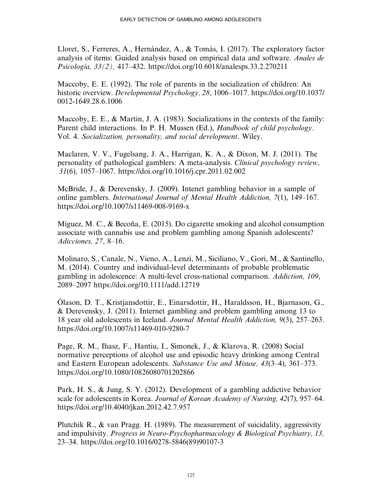Lloret, S., Ferreres, A., Hernández, A., & Tomás, I. (2017). The exploratory factor analysis of items: Guided analysis based on empirical data and software. Anales de Psicología, 33(2), 417–432.<https://doi.org/10.6018/analesps.33.2.270211>

Maccoby, E. E. (1992). The role of parents in the socialization of children: An historic overview. Developmental Psychology, 28, 1006–1017. [https://doi.org/10.1037/](https://doi.org/10.1037/0012-1649.28.6.1006) [0012-1649.28.6.1006](https://doi.org/10.1037/0012-1649.28.6.1006)

Maccoby, E. E., & Martin, J. A. (1983). Socializations in the contexts of the family: Parent child interactions. In P. H. Mussen (Ed.), *Handbook of child psychology*. Vol. 4. Socialization, personality, and social development. Wiley.

Maclaren, V. V., Fugelsang, J. A., Harrigan, K. A., & Dixon, M. J. (2011). The personality of pathological gamblers: A meta-analysis. Clinical psychology review, 31(6), 1057–1067.<https://doi.org/10.1016/j.cpr.2011.02.002>

McBride, J., & Derevensky, J. (2009). Intenet gambling behavior in a sample of online gamblers. International Journal of Mental Health Addiction, 7(1), 149–167. <https://doi.org/10.1007/s11469-008-9169-x>

Míguez, M. C., & Becoña, E. (2015). Do cigarette smoking and alcohol consumption associate with cannabis use and problem gambling among Spanish adolescents? Adicciones, 27, 8–16.

Molinaro, S., Canale, N., Vieno, A., Lenzi, M., Siciliano, V., Gori, M., & Santinello, M. (2014). Country and individual-level determinants of probable problematic gambling in adolescence: A multi-level cross-national comparison. Addiction, 109, 2089–2097<https://doi.org/10.1111/add.12719>

Ólason, D. T., Kristjansdottir, E., Einarsdottir, H., Haraldsson, H., Bjarnason, G., & Derevensky, J. (2011). Internet gambling and problem gambling among 13 to 18 year old adolescents in Iceland. Journal Mental Health Addiction, 9(3), 257–263. <https://doi.org/10.1007/s11469-010-9280-7>

Page, R. M., Ihasz, F., Hantiu, I., Simonek, J., & Klarova, R. (2008) Social normative perceptions of alcohol use and episodic heavy drinking among Central and Eastern European adolescents. Substance Use and Misuse, 43(3–4), 361–373. <https://doi.org/10.1080/10826080701202866>

Park, H. S., & Jung, S. Y. (2012). Development of a gambling addictive behavior scale for adolescents in Korea. Journal of Korean Academy of Nursing, 42(7), 957–64. <https://doi.org/10.4040/jkan.2012.42.7.957>

Plutchik R., & van Pragg. H. (1989). The measurement of suicidality, aggressivity and impulsivity. Progress in Neuro-Psychopharmacology & Biological Psychiatry, 13, 23–34. [https://doi.org/10.1016/0278-5846\(89\)90107-3](https://doi.org/10.1016/0278-5846(89)90107-3)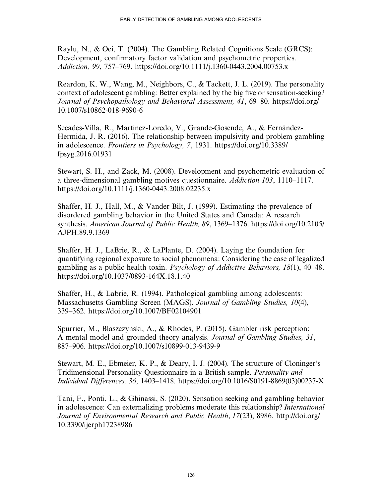Raylu, N., & Oei, T. (2004). The Gambling Related Cognitions Scale (GRCS): Development, confirmatory factor validation and psychometric properties. Addiction, 99, 757–769.<https://doi.org/10.1111/j.1360-0443.2004.00753.x>

Reardon, K. W., Wang, M., Neighbors, C., & Tackett, J. L. (2019). The personality context of adolescent gambling: Better explained by the big five or sensation-seeking? Journal of Psychopathology and Behavioral Assessment, 41, 69–80. [https://doi.org/](https://doi.org/10.1007/s10862-018-9690-6) [10.1007/s10862-018-9690-6](https://doi.org/10.1007/s10862-018-9690-6)

Secades-Villa, R., Martínez-Loredo, V., Grande-Gosende, A., & Fernández-Hermida, J. R. (2016). The relationship between impulsivity and problem gambling in adolescence. Frontiers in Psychology, 7, 1931. [https://doi.org/10.3389/](https://doi.org/10.3389/fpsyg.2016.01931) [fpsyg.2016.01931](https://doi.org/10.3389/fpsyg.2016.01931)

Stewart, S. H., and Zack, M. (2008). Development and psychometric evaluation of a three-dimensional gambling motives questionnaire. Addiction 103, 1110–1117. <https://doi.org/10.1111/j.1360-0443.2008.02235.x>

Shaffer, H. J., Hall, M., & Vander Bilt, J. (1999). Estimating the prevalence of disordered gambling behavior in the United States and Canada: A research synthesis. American Journal of Public Health, 89, 1369–1376. [https://doi.org/10.2105/](https://doi.org/10.2105/AJPH.89.9.1369) [AJPH.89.9.1369](https://doi.org/10.2105/AJPH.89.9.1369)

Shaffer, H. J., LaBrie, R., & LaPlante, D. (2004). Laying the foundation for quantifying regional exposure to social phenomena: Considering the case of legalized gambling as a public health toxin. Psychology of Addictive Behaviors, 18(1), 40–48. <https://doi.org/10.1037/0893-164X.18.1.40>

Shaffer, H., & Labrie, R. (1994). Pathological gambling among adolescents: Massachusetts Gambling Screen (MAGS). Journal of Gambling Studies, 10(4), 339–362.<https://doi.org/10.1007/BF02104901>

Spurrier, M., Blaszczynski, A., & Rhodes, P. (2015). Gambler risk perception: A mental model and grounded theory analysis. Journal of Gambling Studies, 31, 887–906.<https://doi.org/10.1007/s10899-013-9439-9>

Stewart, M. E., Ebmeier, K. P., & Deary, I. J. (2004). The structure of Cloninger's Tridimensional Personality Questionnaire in a British sample. Personality and Individual Differences, 36, 1403–1418. [https://doi.org/10.1016/S0191-8869\(03\)00237-X](https://doi.org/10.1016/S0191-8869(03(00237-X)

Tani, F., Ponti, L., & Ghinassi, S. (2020). Sensation seeking and gambling behavior in adolescence: Can externalizing problems moderate this relationship? International Journal of Environmental Research and Public Health, 17(23), 8986. [http://doi.org/](http://doi.org/10.3390/ijerph17238986) [10.3390/ijerph17238986](http://doi.org/10.3390/ijerph17238986)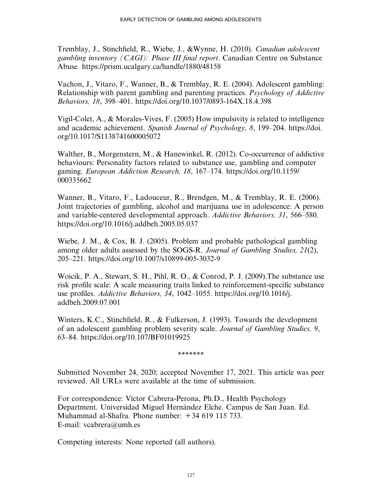Tremblay, J., Stinchfield, R., Wiebe, J., &Wynne, H. (2010). Canadian adolescent gambling inventory (CAGI): Phase III final report. Canadian Centre on Substance Abuse.<https://prism.ucalgary.ca/handle/1880/48158>

Vachon, J., Vitaro, F., Wanner, B., & Tremblay, R. E. (2004). Adolescent gambling: Relationship with parent gambling and parenting practices. Psychology of Addictive Behaviors, 18, 398–401.<https://doi.org/10.1037/0893-164X.18.4.398>

Vigil-Colet, A., & Morales-Vives, F. (2005) How impulsivity is related to intelligence and academic achievement. Spanish Journal of Psychology, 8, 199–204. [https://doi.](https://doi.org/10.1017/S1138741600005072) [org/10.1017/S1138741600005072](https://doi.org/10.1017/S1138741600005072)

Walther, B., Morgenstern, M., & Hanewinkel, R. (2012). Co-occurrence of addictive behaviours: Personality factors related to substance use, gambling and computer gaming. European Addiction Research, 18, 167–174. [https://doi.org/10.1159/](https://doi.org/10.1159/000335662) [000335662](https://doi.org/10.1159/000335662)

Wanner, B., Vitaro, F., Ladouceur, R., Brendgen, M., & Tremblay, R. E. (2006). Joint trajectories of gambling, alcohol and marijuana use in adolescence: A person and variable-centered developmental approach. Addictive Behaviors, 31, 566–580. <https://doi.org/10.1016/j.addbeh.2005.05.037>

Wiebe, J. M., & Cox, B. J. (2005). Problem and probable pathological gambling among older adults assessed by the SOGS-R. Journal of Gambling Studies, 21(2), 205–221.<https://doi.org/10.1007/s10899-005-3032-9>

Woicik, P. A., Stewart, S. H., Pihl, R. O., & Conrod, P. J. (2009).The substance use risk profile scale: A scale measuring traits linked to reinforcement-specific substance use profiles. Addictive Behaviors, 34, 1042–1055. [https://doi.org/10.1016/j.](https://doi.org/10.1016/j.addbeh.2009.07.001) [addbeh.2009.07.001](https://doi.org/10.1016/j.addbeh.2009.07.001)

Winters, K.C., Stinchfield, R., & Fulkerson, J. (1993). Towards the development of an adolescent gambling problem severity scale. Journal of Gambling Studies, 9, 63–84.<https://doi.org/10.107/BF01019925>

\*\*\*\*\*\*\*

Submitted November 24, 2020; accepted November 17, 2021. This article was peer reviewed. All URLs were available at the time of submission.

For correspondence: Víctor Cabrera-Perona, Ph.D., Health Psychology Department. Universidad Miguel Hernández Elche. Campus de San Juan. Ed. Muhammad al-Shafra. Phone number: +34 619 115 733. E-mail: [vcabrera@umh.es](mailto:vcabrera@umh.es)

Competing interests: None reported (all authors).